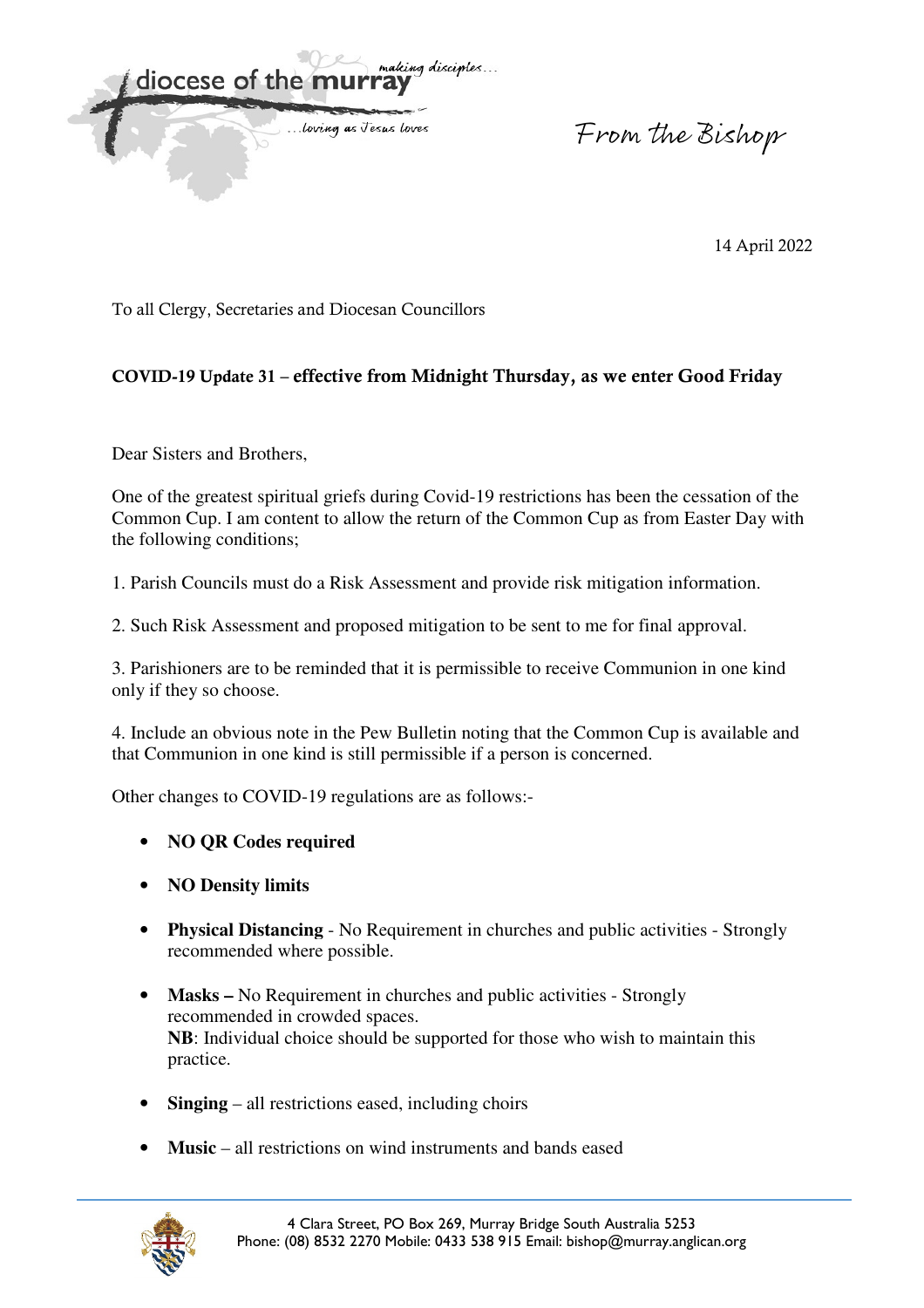

From the Bishop

14 April 2022

To all Clergy, Secretaries and Diocesan Councillors

## **COVID-19 Update 31 – effective from Midnight Thursday, as we enter Good Friday**

Dear Sisters and Brothers,

One of the greatest spiritual griefs during Covid-19 restrictions has been the cessation of the Common Cup. I am content to allow the return of the Common Cup as from Easter Day with the following conditions;

1. Parish Councils must do a Risk Assessment and provide risk mitigation information.

2. Such Risk Assessment and proposed mitigation to be sent to me for final approval.

3. Parishioners are to be reminded that it is permissible to receive Communion in one kind only if they so choose.

4. Include an obvious note in the Pew Bulletin noting that the Common Cup is available and that Communion in one kind is still permissible if a person is concerned.

Other changes to COVID-19 regulations are as follows:-

- **NO QR Codes required**
- **NO Density limits**
- **Physical Distancing** No Requirement in churches and public activities Strongly recommended where possible.
- **Masks –** No Requirement in churches and public activities Strongly recommended in crowded spaces.  **NB**: Individual choice should be supported for those who wish to maintain this practice.
- **Singing** all restrictions eased, including choirs
- **Music** all restrictions on wind instruments and bands eased